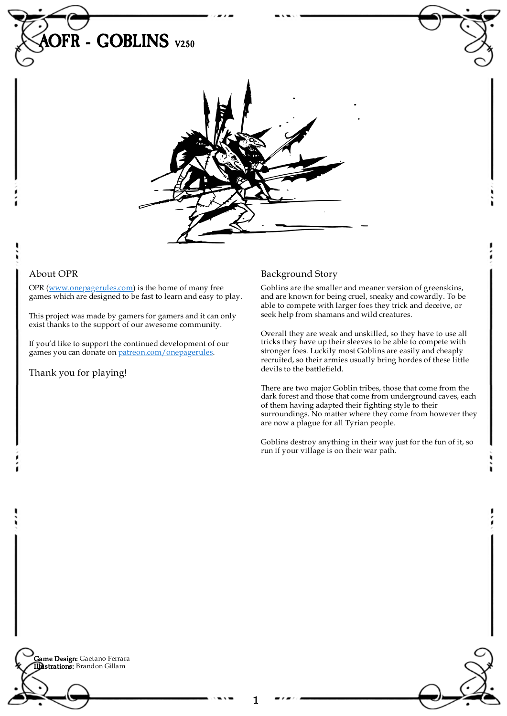

## About OPR

OPR [\(www.onepagerules.com](https://webapp.onepagerules.com/army-books/view/q9BQlBp583ZuuOnQ~6/https//www.onepagerules.com)) is the home of many free games which are designed to be fast to learn and easy to play.

This project was made by gamers for gamers and it can only exist thanks to the support of our awesome community.

If you'd like to support the continued development of our games you can donate on [patreon.com/onepagerules](https://www.patreon.com/onepagerules).

Thank you for playing!

# Background Story

Goblins are the smaller and meaner version of greenskins, and are known for being cruel, sneaky and cowardly. To be able to compete with larger foes they trick and deceive, or seek help from shamans and wild creatures.

Overall they are weak and unskilled, so they have to use all tricks they have up their sleeves to be able to compete with stronger foes. Luckily most Goblins are easily and cheaply recruited, so their armies usually bring hordes of these little devils to the battlefield.

There are two major Goblin tribes, those that come from the dark forest and those that come from underground caves, each of them having adapted their fighting style to their surroundings. No matter where they come from however they are now a plague for all Tyrian people.

Goblins destroy anything in their way just for the fun of it, so run if your village is on their war path.

**Game Design:** Gaetano Ferrara Illustrations: Brandon Gillam